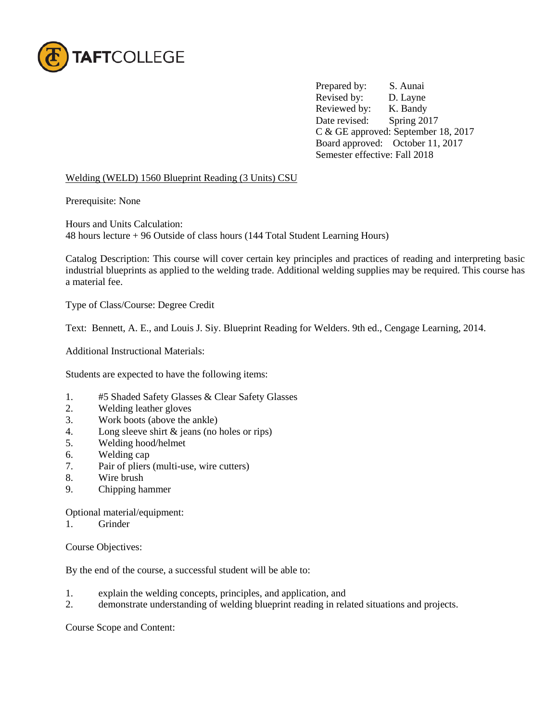

Prepared by: S. Aunai Revised by: D. Layne Reviewed by: K. Bandy Date revised: Spring 2017 C & GE approved: September 18, 2017 Board approved: October 11, 2017 Semester effective: Fall 2018

## Welding (WELD) 1560 Blueprint Reading (3 Units) CSU

Prerequisite: None

Hours and Units Calculation: 48 hours lecture + 96 Outside of class hours (144 Total Student Learning Hours)

Catalog Description: This course will cover certain key principles and practices of reading and interpreting basic industrial blueprints as applied to the welding trade. Additional welding supplies may be required. This course has a material fee.

Type of Class/Course: Degree Credit

Text: Bennett, A. E., and Louis J. Siy. Blueprint Reading for Welders. 9th ed., Cengage Learning, 2014.

Additional Instructional Materials:

Students are expected to have the following items:

- 1. #5 Shaded Safety Glasses & Clear Safety Glasses<br>2. Welding leather gloves
- Welding leather gloves
- 3. Work boots (above the ankle)
- 4. Long sleeve shirt & jeans (no holes or rips)
- 5. Welding hood/helmet
- 6. Welding cap
- 7. Pair of pliers (multi-use, wire cutters)
- 8. Wire brush
- 9. Chipping hammer

Optional material/equipment:

1. Grinder

Course Objectives:

By the end of the course, a successful student will be able to:

- 1. explain the welding concepts, principles, and application, and
- 2. demonstrate understanding of welding blueprint reading in related situations and projects.

Course Scope and Content: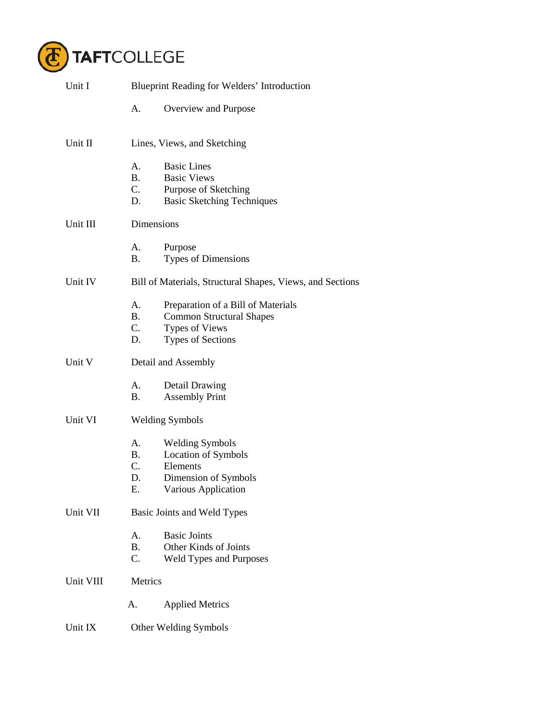

| Unit I                           | <b>Blueprint Reading for Welders' Introduction</b> |                                                           |  |
|----------------------------------|----------------------------------------------------|-----------------------------------------------------------|--|
|                                  | А.                                                 | Overview and Purpose                                      |  |
| Unit II                          | Lines, Views, and Sketching                        |                                                           |  |
|                                  | А.                                                 | <b>Basic Lines</b>                                        |  |
|                                  | <b>B.</b>                                          | <b>Basic Views</b>                                        |  |
|                                  | $C_{\cdot}$                                        | Purpose of Sketching                                      |  |
|                                  | D.                                                 | <b>Basic Sketching Techniques</b>                         |  |
| Unit III                         |                                                    | Dimensions                                                |  |
|                                  | А.                                                 | Purpose                                                   |  |
|                                  | <b>B.</b>                                          | Types of Dimensions                                       |  |
| Unit IV                          |                                                    | Bill of Materials, Structural Shapes, Views, and Sections |  |
|                                  | А.                                                 | Preparation of a Bill of Materials                        |  |
|                                  | <b>B.</b>                                          | <b>Common Structural Shapes</b>                           |  |
|                                  | $C_{\cdot}$                                        | <b>Types of Views</b>                                     |  |
|                                  | D.                                                 | <b>Types of Sections</b>                                  |  |
| Unit V                           | Detail and Assembly                                |                                                           |  |
|                                  | А.                                                 | Detail Drawing                                            |  |
|                                  | В.                                                 | <b>Assembly Print</b>                                     |  |
| Unit VI                          | <b>Welding Symbols</b>                             |                                                           |  |
|                                  | А.                                                 | <b>Welding Symbols</b>                                    |  |
|                                  | <b>B.</b>                                          | Location of Symbols                                       |  |
|                                  | $C_{\cdot}$                                        | Elements                                                  |  |
|                                  | D.                                                 | Dimension of Symbols                                      |  |
|                                  | Е.                                                 | Various Application                                       |  |
| Unit VII                         | Basic Joints and Weld Types                        |                                                           |  |
|                                  | A.                                                 | <b>Basic Joints</b>                                       |  |
|                                  | <b>B.</b>                                          | Other Kinds of Joints                                     |  |
|                                  | C.                                                 | Weld Types and Purposes                                   |  |
| Unit VIII                        | Metrics                                            |                                                           |  |
|                                  | A.                                                 | <b>Applied Metrics</b>                                    |  |
| Unit IX<br>Other Welding Symbols |                                                    |                                                           |  |
|                                  |                                                    |                                                           |  |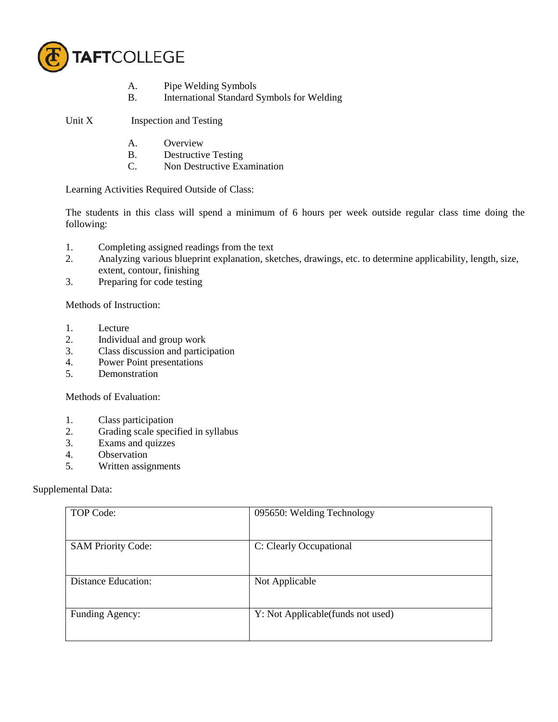

- A. Pipe Welding Symbols
- B. International Standard Symbols for Welding

Unit X Inspection and Testing

- A. Overview
- B. Destructive Testing<br>C. Non Destructive Example
- Non Destructive Examination

Learning Activities Required Outside of Class:

The students in this class will spend a minimum of 6 hours per week outside regular class time doing the following:

- 1. Completing assigned readings from the text
- 2. Analyzing various blueprint explanation, sketches, drawings, etc. to determine applicability, length, size, extent, contour, finishing
- 3. Preparing for code testing

Methods of Instruction:

- 1. Lecture
- 2. Individual and group work
- 3. Class discussion and participation
- 4. Power Point presentations
- 5. Demonstration

Methods of Evaluation:

- 1. Class participation
- 2. Grading scale specified in syllabus
- 3. Exams and quizzes
- 4. Observation<br>5. Written assis
- Written assignments

## Supplemental Data:

| TOP Code:                  | 095650: Welding Technology         |
|----------------------------|------------------------------------|
| <b>SAM Priority Code:</b>  | C: Clearly Occupational            |
| <b>Distance Education:</b> | Not Applicable                     |
| Funding Agency:            | Y: Not Applicable (funds not used) |
|                            |                                    |